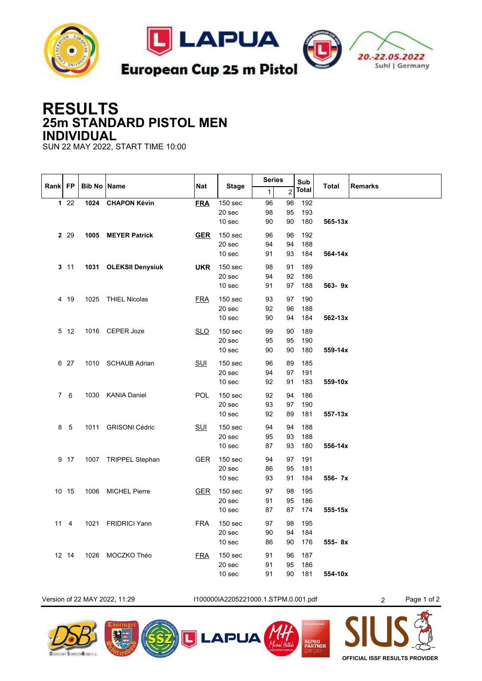

## **RESULTS 25m STANDARD PISTOL MEN INDIVIDUAL**

SUN 22 MAY 2022, START TIME 10:00

|      | FP           | <b>Bib No Name</b> |                       | <b>Nat</b> | <b>Stage</b>                           | <b>Series</b>  |                | Sub               |              |                |
|------|--------------|--------------------|-----------------------|------------|----------------------------------------|----------------|----------------|-------------------|--------------|----------------|
| Rank |              |                    |                       |            |                                        | $\mathbf{1}$   | $\overline{2}$ | <b>Total</b>      | <b>Total</b> | <b>Remarks</b> |
|      | 122          | 1024               | <b>CHAPON Kévin</b>   | <b>FRA</b> | 150 sec<br>20 sec<br>10 sec            | 96<br>98<br>90 | 96<br>95<br>90 | 192<br>193<br>180 | 565-13x      |                |
|      | 2 2 9        |                    | 1005 MEYER Patrick    | <b>GER</b> | 150 sec<br>20 sec<br>10 sec            | 96<br>94<br>91 | 96<br>94<br>93 | 192<br>188<br>184 | 564-14x      |                |
|      | $3 \t11$     |                    | 1031 OLEKSII Denysiuk | <b>UKR</b> | 150 <sub>sec</sub><br>20 sec<br>10 sec | 98<br>94<br>91 | 91<br>92<br>97 | 189<br>186<br>188 | 563-9x       |                |
|      | 4 19         |                    | 1025 THIEL Nicolas    | <b>FRA</b> | 150 sec<br>20 sec<br>10 sec            | 93<br>92<br>90 | 97<br>96<br>94 | 190<br>188<br>184 | 562-13x      |                |
|      | 5 12         |                    | 1016 CEPER Joze       | <b>SLO</b> | 150 <sub>sec</sub><br>20 sec<br>10 sec | 99<br>95<br>90 | 90<br>95<br>90 | 189<br>190<br>180 | 559-14x      |                |
|      | 6 27         |                    | 1010 SCHAUB Adrian    | $SUI$      | 150 <sub>sec</sub><br>20 sec<br>10 sec | 96<br>94<br>92 | 89<br>97<br>91 | 185<br>191<br>183 | 559-10x      |                |
|      | 76           |                    | 1030 KANIA Daniel     | <b>POL</b> | 150 <sub>sec</sub><br>20 sec<br>10 sec | 92<br>93<br>92 | 94<br>97<br>89 | 186<br>190<br>181 | 557-13x      |                |
|      | 8 5          |                    | 1011 GRISONI Cédric   | SUI        | 150 sec<br>20 sec<br>10 sec            | 94<br>95<br>87 | 94<br>93<br>93 | 188<br>188<br>180 | 556-14x      |                |
|      | 9 17         |                    | 1007 TRIPPEL Stephan  | <b>GER</b> | 150 <sub>sec</sub><br>20 sec<br>10 sec | 94<br>86<br>93 | 97<br>95<br>91 | 191<br>181<br>184 | 556-7x       |                |
|      | 10 15        |                    | 1006 MICHEL Pierre    | <b>GER</b> | 150 sec<br>20 sec<br>10 sec            | 97<br>91<br>87 | 98<br>95<br>87 | 195<br>186<br>174 | $555 - 15x$  |                |
|      | $11 \quad 4$ |                    | 1021 FRIDRICI Yann    | <b>FRA</b> | 150 sec<br>20 sec<br>10 sec            | 97<br>90<br>86 | 98<br>94<br>90 | 195<br>184<br>176 | 555-8x       |                |
|      | 12 14        | 1026               | MOCZKO Théo           | <b>FRA</b> | 150 <sub>sec</sub><br>20 sec<br>10 sec | 91<br>91<br>91 | 96<br>95<br>90 | 187<br>186<br>181 | 554-10x      |                |

Version of 22 MAY 2022, 11:29 I100000IA2205221000.1.STPM.0.001.pdf 2 Page 1 of 2